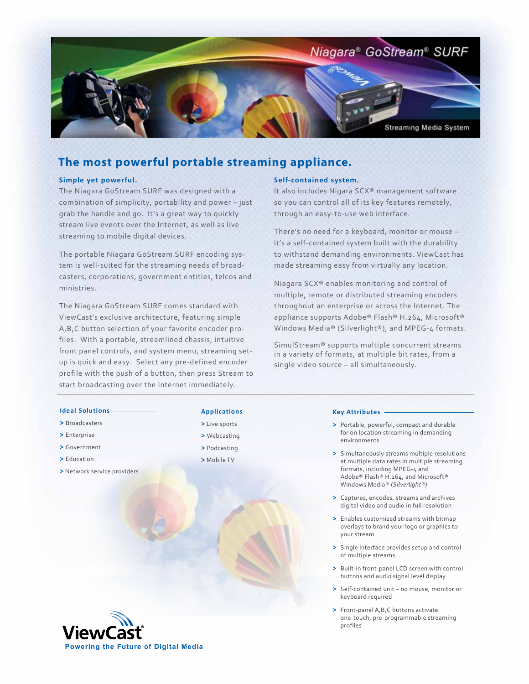

# **The most powerful portable streaming appliance.**

### **Simple yet powerful.**

The Niagara GoStream SURF was designed with a combination of simplicity, portability and power – just grab the handle and go. It's a great way to quickly stream live events over the Internet, as well as live streaming to mobile digital devices.

The portable Niagara GoStream SURF encoding system is well-suited for the streaming needs of broadcasters, corporations, government entities, telcos and ministries.

The Niagara GoStream SURF comes standard with ViewCast's exclusive architecture, featuring simple A,B,C button selection of your favorite encoder profiles. With a portable, streamlined chassis, intuitive front panel controls, and system menu, streaming setup is quick and easy. Select any pre-defined encoder profile with the push of a button, then press Stream to start broadcasting over the Internet immediately.

### **Self-contained system.**

It also includes Nigara SCX® management software so you can control all of its key features remotely, through an easy-to-use web interface.

There's no need for a keyboard, monitor or mouse – it's a self-contained system built with the durability to withstand demanding environments. ViewCast has made streaming easy from virtually any location.

Niagara SCX® enables monitoring and control of multiple, remote or distributed streaming encoders throughout an enterprise or across the Internet. The appliance supports Adobe® Flash® H.264, Microsoft® Windows Media® (Silverlight®), and MPEG-4 formats.

SimulStream® supports multiple concurrent streams in a variety of formats, at multiple bit rates, from a single video source – all simultaneously.

#### **Ideal Solutions**

- **>** Broadcasters
- **>** Enterprise
- **>** Government
- **>** Education
- **>** Network service providers

## **Applications**

- **>** Live sports **>** Webcasting
- 
- **>** Podcasting
- **>** Mobile TV

### **Key Attributes**

- **>** Portable, powerful, compact and durable for on location streaming in demanding environments
- **>** Simultaneously streams multiple resolutions at multiple data rates in multiple streaming formats, including MPEG-4 and Adobe® Flash® H.264, and Microsoft® Windows Media® (*Silverlight®)*
- **>** Captures, encodes, streams and archives digital video and audio in full resolution
- **>** Enables customized streams with bitmap overlays to brand your logo or graphics to your stream
- **>** Single interface provides setup and control of multiple streams
- **>** Built-in front-panel LCD screen with control buttons and audio signal level display
- **>** Self-contained unit no mouse, monitor or keyboard required
- **>** Front-panel A,B,C buttons activate one-touch, pre-programmable streaming profiles

**Powering the Future of Digital Media**